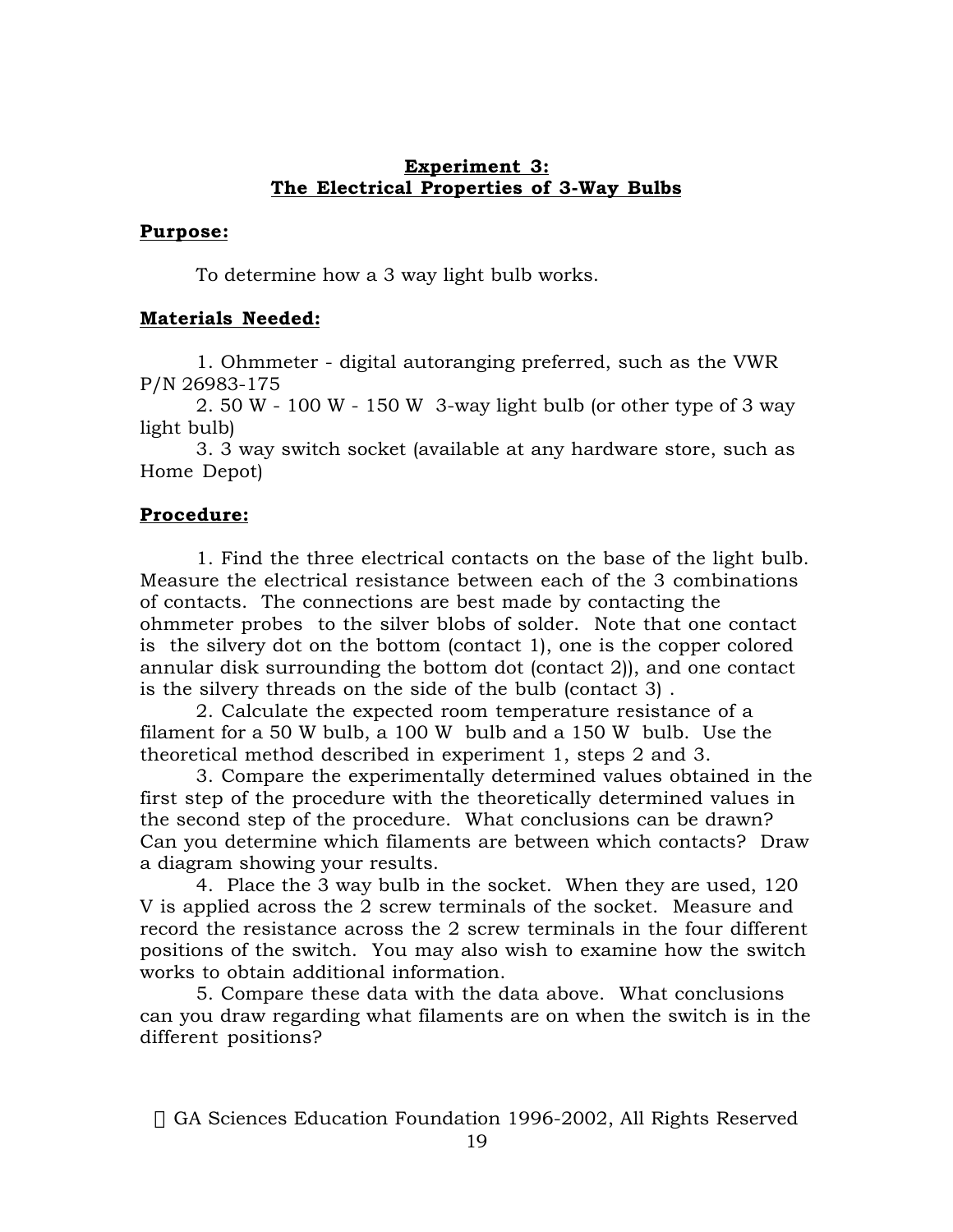## **Experiment 3: The Electrical Properties of 3-Way Bulbs**

## **Purpose:**

To determine how a 3 way light bulb works.

# **Materials Needed:**

1. Ohmmeter - digital autoranging preferred, such as the VWR P/N 26983-175

2. 50 W - 100 W - 150 W 3-way light bulb (or other type of 3 way light bulb)

3. 3 way switch socket (available at any hardware store, such as Home Depot)

## **Procedure:**

1. Find the three electrical contacts on the base of the light bulb. Measure the electrical resistance between each of the 3 combinations of contacts. The connections are best made by contacting the ohmmeter probes to the silver blobs of solder. Note that one contact is the silvery dot on the bottom (contact 1), one is the copper colored annular disk surrounding the bottom dot (contact 2)), and one contact is the silvery threads on the side of the bulb (contact 3) .

2. Calculate the expected room temperature resistance of a filament for a 50 W bulb, a 100 W bulb and a 150 W bulb. Use the theoretical method described in experiment 1, steps 2 and 3.

3. Compare the experimentally determined values obtained in the first step of the procedure with the theoretically determined values in the second step of the procedure. What conclusions can be drawn? Can you determine which filaments are between which contacts? Draw a diagram showing your results.

4. Place the 3 way bulb in the socket. When they are used, 120 V is applied across the 2 screw terminals of the socket. Measure and record the resistance across the 2 screw terminals in the four different positions of the switch. You may also wish to examine how the switch works to obtain additional information.

5. Compare these data with the data above. What conclusions can you draw regarding what filaments are on when the switch is in the different positions?

© GA Sciences Education Foundation 1996-2002, All Rights Reserved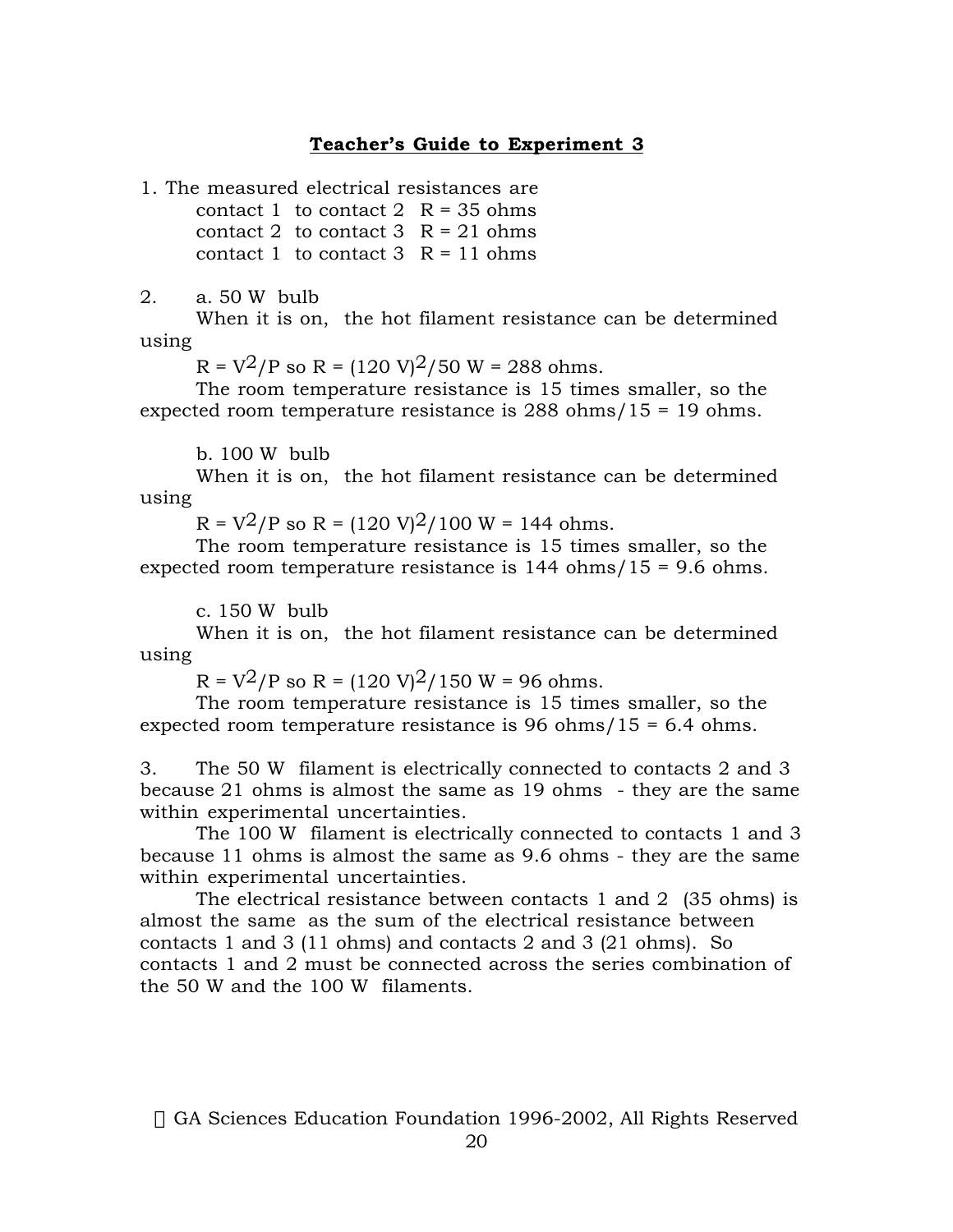### **Teacher's Guide to Experiment 3**

1. The measured electrical resistances are

contact 1 to contact 2  $R = 35$  ohms contact 2 to contact  $3 \text{ R} = 21 \text{ ohms}$ contact 1 to contact 3  $R = 11$  ohms

2. a. 50 W bulb

When it is on, the hot filament resistance can be determined using

 $R = V^2/P$  so  $R = (120 V)^2/50 W = 288$  ohms.

The room temperature resistance is 15 times smaller, so the expected room temperature resistance is 288 ohms/15 = 19 ohms.

b. 100 W bulb

When it is on, the hot filament resistance can be determined using

 $R = V^2/P$  so  $R = (120 V)^2/100 W = 144$  ohms.

The room temperature resistance is 15 times smaller, so the expected room temperature resistance is 144 ohms/15 = 9.6 ohms.

c. 150 W bulb

When it is on, the hot filament resistance can be determined using

 $R = V^2/P$  so  $R = (120 V)^2/150 W = 96$  ohms.

The room temperature resistance is 15 times smaller, so the expected room temperature resistance is 96 ohms/15 = 6.4 ohms.

3. The 50 W filament is electrically connected to contacts 2 and 3 because 21 ohms is almost the same as 19 ohms - they are the same within experimental uncertainties.

The 100 W filament is electrically connected to contacts 1 and 3 because 11 ohms is almost the same as 9.6 ohms - they are the same within experimental uncertainties.

The electrical resistance between contacts 1 and 2 (35 ohms) is almost the same as the sum of the electrical resistance between contacts 1 and 3 (11 ohms) and contacts 2 and 3 (21 ohms). So contacts 1 and 2 must be connected across the series combination of the 50 W and the 100 W filaments.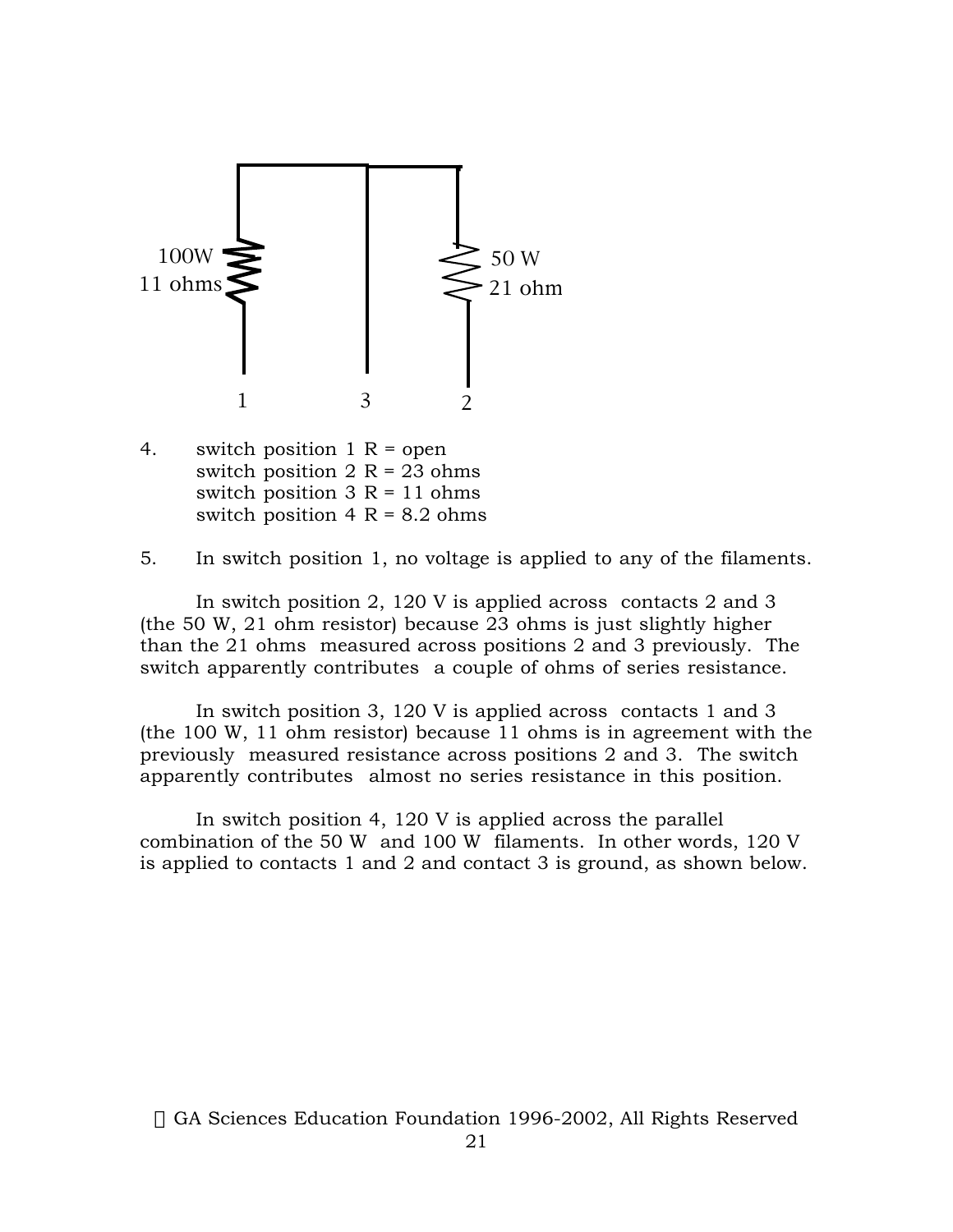

4. switch position  $1 R =$  open switch position  $2 R = 23 ohms$ switch position  $3 R = 11$  ohms switch position  $4 R = 8.2$  ohms

5. In switch position 1, no voltage is applied to any of the filaments.

In switch position 2, 120 V is applied across contacts 2 and 3 (the 50 W, 21 ohm resistor) because 23 ohms is just slightly higher than the 21 ohms measured across positions 2 and 3 previously. The switch apparently contributes a couple of ohms of series resistance.

In switch position 3, 120 V is applied across contacts 1 and 3 (the 100 W, 11 ohm resistor) because 11 ohms is in agreement with the previously measured resistance across positions 2 and 3. The switch apparently contributes almost no series resistance in this position.

In switch position 4, 120 V is applied across the parallel combination of the 50 W and 100 W filaments. In other words, 120 V is applied to contacts 1 and 2 and contact 3 is ground, as shown below.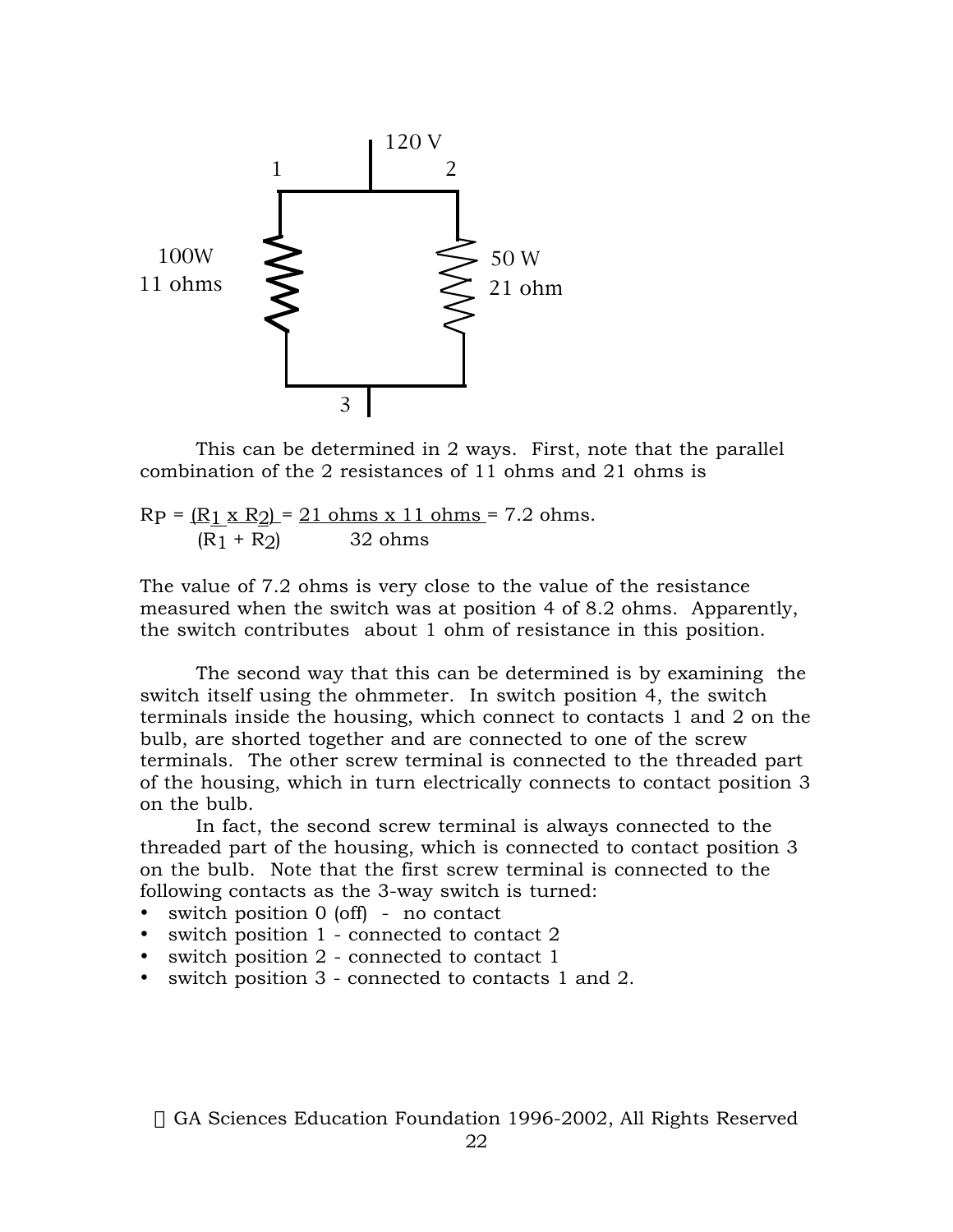

This can be determined in 2 ways. First, note that the parallel combination of the 2 resistances of 11 ohms and 21 ohms is

 $RP = (R_1 \times R_2) = 21$  ohms  $x$  11 ohms = 7.2 ohms.  $(R1 + R2)$  32 ohms

The value of 7.2 ohms is very close to the value of the resistance measured when the switch was at position 4 of 8.2 ohms. Apparently, the switch contributes about 1 ohm of resistance in this position.

The second way that this can be determined is by examining the switch itself using the ohmmeter. In switch position 4, the switch terminals inside the housing, which connect to contacts 1 and 2 on the bulb, are shorted together and are connected to one of the screw terminals. The other screw terminal is connected to the threaded part of the housing, which in turn electrically connects to contact position 3 on the bulb.

In fact, the second screw terminal is always connected to the threaded part of the housing, which is connected to contact position 3 on the bulb. Note that the first screw terminal is connected to the following contacts as the 3-way switch is turned:

switch position 0 (off) - no contact switch position 1 - connected to contact 2 switch position 2 - connected to contact 1 switch position 3 - connected to contacts 1 and 2.

© GA Sciences Education Foundation 1996-2002, All Rights Reserved